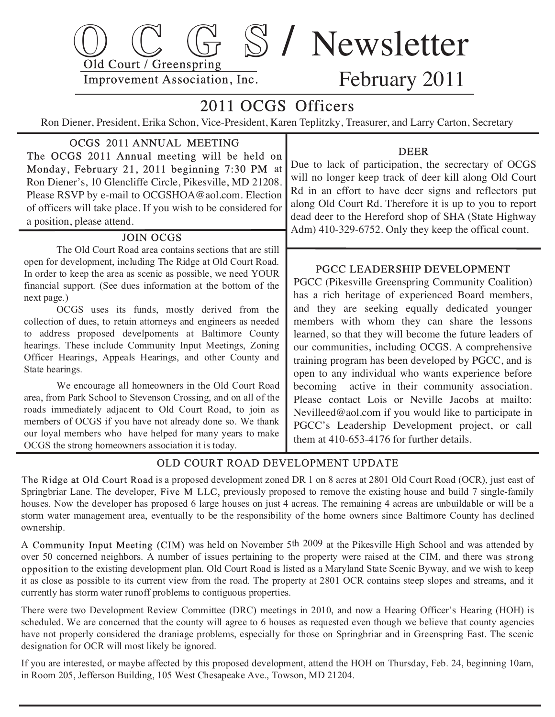

# February 2011

## 2011 OCGS Officers

Ron Diener, President, Erika Schon, Vice-President, Karen Teplitzky, Treasurer, and Larry Carton, Secretary

#### OCGS 2011 ANNUAL MEETING The OCGS 2011 Annual meeting will be held on

 Monday, February 21, 2011 beginning 7:30 PM at Ron Diener's, 10 Glencliffe Circle, Pikesville, MD 21208. Please RSVP by e-mail to OCGSHOA@aol.com. Election of officers will take place. If you wish to be considered for a position, please attend.

#### JOIN OCGS

 The Old Court Road area contains sections that are still open for development, including The Ridge at Old Court Road. In order to keep the area as scenic as possible, we need YOUR financial support. (See dues information at the bottom of the next page.)

 OCGS uses its funds, mostly derived from the collection of dues, to retain attorneys and engineers as needed to address proposed develpoments at Baltimore County hearings. These include Community Input Meetings, Zoning Officer Hearings, Appeals Hearings, and other County and State hearings.

 We encourage all homeowners in the Old Court Road area, from Park School to Stevenson Crossing, and on all of the roads immediately adjacent to Old Court Road, to join as members of OCGS if you have not already done so. We thank our loyal members who have helped for many years to make OCGS the strong homeowners association it is today.

#### DEER

 Due to lack of participation, the secrectary of OCGS will no longer keep track of deer kill along Old Court Rd in an effort to have deer signs and reflectors put along Old Court Rd. Therefore it is up to you to report dead deer to the Hereford shop of SHA (State Highway Adm) 410-329-6752. Only they keep the offical count.

#### PGCC LEADERSHIP DEVELOPMENT

 PGCC (Pikesville Greenspring Community Coalition) has a rich heritage of experienced Board members, and they are seeking equally dedicated younger members with whom they can share the lessons learned, so that they will become the future leaders of our communities, including OCGS. A comprehensive training program has been developed by PGCC, and is open to any individual who wants experience before becoming active in their community association. Please contact Lois or Neville Jacobs at mailto: Nevilleed@aol.com if you would like to participate in PGCC's Leadership Development project, or call them at 410-653-4176 for further details.

### OLD COURT ROAD DEVELOPMENT UPDATE

 The Ridge at Old Court Road is a proposed development zoned DR 1 on 8 acres at 2801 Old Court Road (OCR), just east of Springbriar Lane. The developer, Five M LLC, previously proposed to remove the existing house and build 7 single-family houses. Now the developer has proposed 6 large houses on just 4 acreas. The remaining 4 acreas are unbuildable or will be a storm water management area, eventually to be the responsibility of the home owners since Baltimore County has declined ownership.

A Community Input Meeting (CIM) was held on November 5th 2009 at the Pikesville High School and was attended by over 50 concerned neighbors. A number of issues pertaining to the property were raised at the CIM, and there was strong opposition to the existing development plan. Old Court Road is listed as a Maryland State Scenic Byway, and we wish to keep it as close as possible to its current view from the road. The property at 2801 OCR contains steep slopes and streams, and it currently has storm water runoff problems to contiguous properties.

There were two Development Review Committee (DRC) meetings in 2010, and now a Hearing Officer's Hearing (HOH) is scheduled. We are concerned that the county will agree to 6 houses as requested even though we believe that county agencies have not properly considered the draniage problems, especially for those on Springbriar and in Greenspring East. The scenic designation for OCR will most likely be ignored.

If you are interested, or maybe affected by this proposed development, attend the HOH on Thursday, Feb. 24, beginning 10am, in Room 205, Jefferson Building, 105 West Chesapeake Ave., Towson, MD 21204.